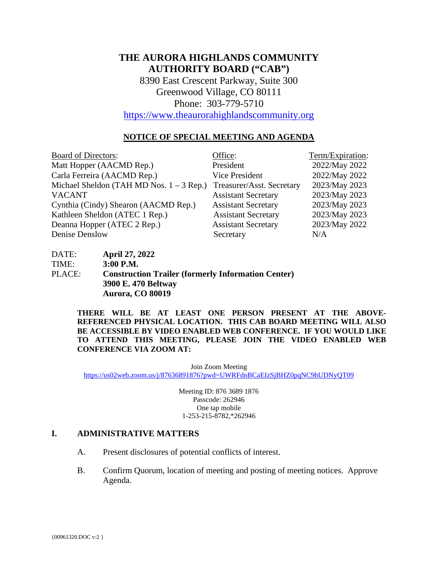# **THE AURORA HIGHLANDS COMMUNITY AUTHORITY BOARD ("CAB")**

8390 East Crescent Parkway, Suite 300 Greenwood Village, CO 80111 Phone: 303-779-5710

[https://www.theaurorahighlandscommunity.org](https://www.theaurorahighlandscommunity.org/)

## **NOTICE OF SPECIAL MEETING AND AGENDA**

| <b>Board of Directors:</b>                 | Office:                    | Term/Expiration: |
|--------------------------------------------|----------------------------|------------------|
| Matt Hopper (AACMD Rep.)                   | President                  | 2022/May 2022    |
| Carla Ferreira (AACMD Rep.)                | <b>Vice President</b>      | 2022/May 2022    |
| Michael Sheldon (TAH MD Nos. $1 - 3$ Rep.) | Treasurer/Asst. Secretary  | 2023/May 2023    |
| <b>VACANT</b>                              | <b>Assistant Secretary</b> | 2023/May 2023    |
| Cynthia (Cindy) Shearon (AACMD Rep.)       | <b>Assistant Secretary</b> | 2023/May 2023    |
| Kathleen Sheldon (ATEC 1 Rep.)             | <b>Assistant Secretary</b> | 2023/May 2023    |
| Deanna Hopper (ATEC 2 Rep.)                | <b>Assistant Secretary</b> | 2023/May 2022    |
| Denise Denslow                             | Secretary                  | N/A              |

DATE: **April 27, 2022** TIME: **3:00 P.M.** PLACE: **Construction Trailer (formerly Information Center) 3900 E. 470 Beltway Aurora, CO 80019** 

> **THERE WILL BE AT LEAST ONE PERSON PRESENT AT THE ABOVE-REFERENCED PHYSICAL LOCATION. THIS CAB BOARD MEETING WILL ALSO BE ACCESSIBLE BY VIDEO ENABLED WEB CONFERENCE. IF YOU WOULD LIKE TO ATTEND THIS MEETING, PLEASE JOIN THE VIDEO ENABLED WEB CONFERENCE VIA ZOOM AT:**

> > Join Zoom Meeting

<https://us02web.zoom.us/j/87636891876?pwd=UWRFdnBCaEIzSjBHZ0pqNC9hUDNyQT09>

Meeting ID: 876 3689 1876 Passcode: 262946 One tap mobile 1-253-215-8782,\*262946

#### **I. ADMINISTRATIVE MATTERS**

- A. Present disclosures of potential conflicts of interest.
- B. Confirm Quorum, location of meeting and posting of meeting notices. Approve Agenda.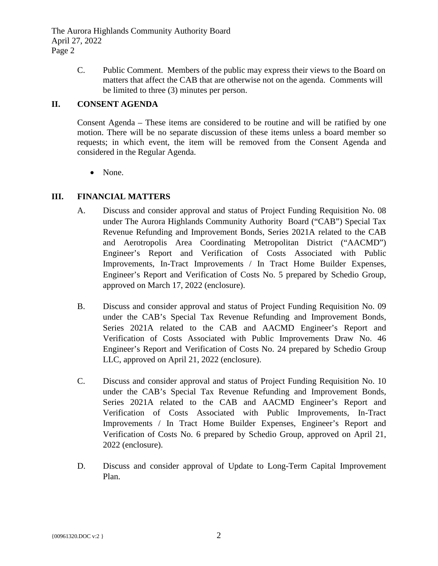The Aurora Highlands Community Authority Board April 27, 2022 Page 2

> C. Public Comment. Members of the public may express their views to the Board on matters that affect the CAB that are otherwise not on the agenda. Comments will be limited to three (3) minutes per person.

# **II. CONSENT AGENDA**

Consent Agenda – These items are considered to be routine and will be ratified by one motion. There will be no separate discussion of these items unless a board member so requests; in which event, the item will be removed from the Consent Agenda and considered in the Regular Agenda.

• None.

# **III. FINANCIAL MATTERS**

- A. Discuss and consider approval and status of Project Funding Requisition No. 08 under The Aurora Highlands Community Authority Board ("CAB") Special Tax Revenue Refunding and Improvement Bonds, Series 2021A related to the CAB and Aerotropolis Area Coordinating Metropolitan District ("AACMD") Engineer's Report and Verification of Costs Associated with Public Improvements, In-Tract Improvements / In Tract Home Builder Expenses, Engineer's Report and Verification of Costs No. 5 prepared by Schedio Group, approved on March 17, 2022 (enclosure).
- B. Discuss and consider approval and status of Project Funding Requisition No. 09 under the CAB's Special Tax Revenue Refunding and Improvement Bonds, Series 2021A related to the CAB and AACMD Engineer's Report and Verification of Costs Associated with Public Improvements Draw No. 46 Engineer's Report and Verification of Costs No. 24 prepared by Schedio Group LLC, approved on April 21, 2022 (enclosure).
- C. Discuss and consider approval and status of Project Funding Requisition No. 10 under the CAB's Special Tax Revenue Refunding and Improvement Bonds, Series 2021A related to the CAB and AACMD Engineer's Report and Verification of Costs Associated with Public Improvements, In-Tract Improvements / In Tract Home Builder Expenses, Engineer's Report and Verification of Costs No. 6 prepared by Schedio Group, approved on April 21, 2022 (enclosure).
- D. Discuss and consider approval of Update to Long-Term Capital Improvement Plan.